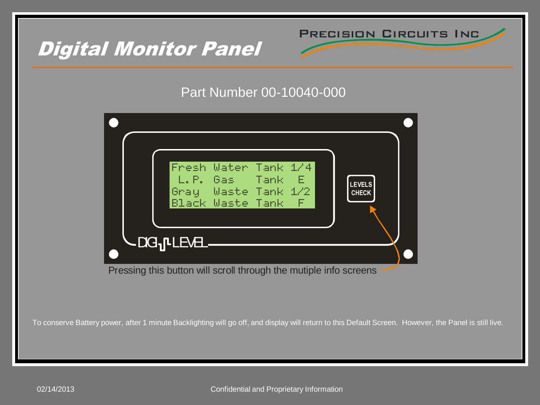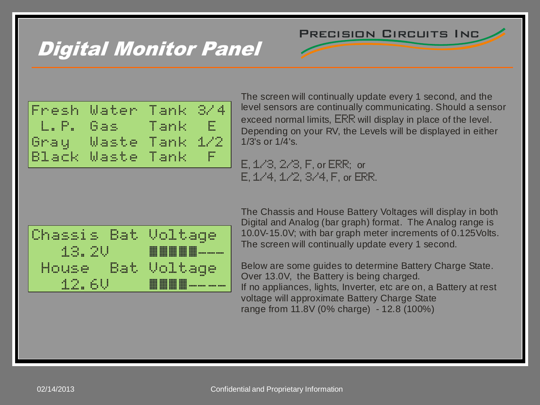#### Precision Circuits Inc

## Digital Monitor Panel

| Digital Monitor Par  |  |
|----------------------|--|
| Fresh Water Tank 8/4 |  |
| L.P. Gas Tank E      |  |
| Gray Waste Tank 1/2  |  |
| Black Waste Tank F   |  |
|                      |  |

The screen will continually update every 1 second, and the level sensors are continually communicating. Should a sensor exceed normal limits,  $\mathsf{ER}$  will display in place of the level. Depending on your RV, the Levels will be displayed in either 1/3's or 1/4's. The screen will continuall<br>level sensors are continuall<br>exceed normal limits, ER<br>Depending on your RV, th<br>1/3's or 1/4's.<br>E, 1/3, 2/3, F, or ERR<br>E, 1/4, 1/2, 3/4, F, o level sensors are continually connected normal limits, ERR will depending on your RV, the Level 1/3's or 1/4's.<br>E, 1/3, 2/3, F, or ERR; or E, 1/4, 1/2, 3/4, F, or ERR

 $E, 1/3, 2/3, F, or ERR;$  or  $E. 1/4, 1/2, 3/4, F.$  or ERR.



The Chassis and House Battery Voltages will display in both Digital and Analog (bar graph) format. The Analog range is 10.0V-15.0V; with bar graph meter increments of 0.125Volts. The screen will continually update every 1 second.

Below are some guides to determine Battery Charge State. Over 13.0V, the Battery is being charged. If no appliances, lights, Inverter, etc are on, a Battery at rest voltage will approximate Battery Charge State range from 11.8V (0% charge) - 12.8 (100%)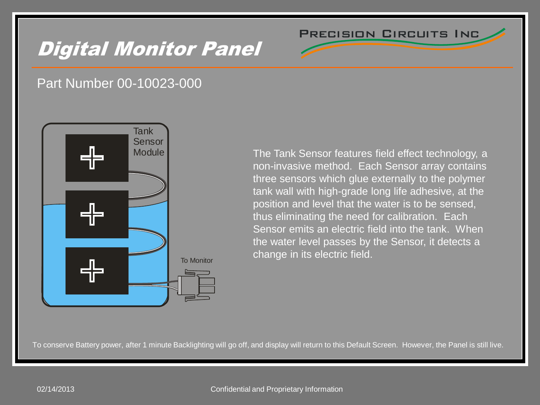# Digital Monitor Panel





The Tank Sensor features field effect technology, a non-invasive method. Each Sensor array contains three sensors which glue externally to the polymer tank wall with high-grade long life adhesive, at the position and level that the water is to be sensed, thus eliminating the need for calibration. Each Sensor emits an electric field into the tank. When the water level passes by the Sensor, it detects a change in its electric field.

Precision Circuits Inc

To conserve Battery power, after 1 minute Backlighting will go off, and display will return to this Default Screen. However, the Panel is still live.

#### 02/14/2013 Confidential and Proprietary Information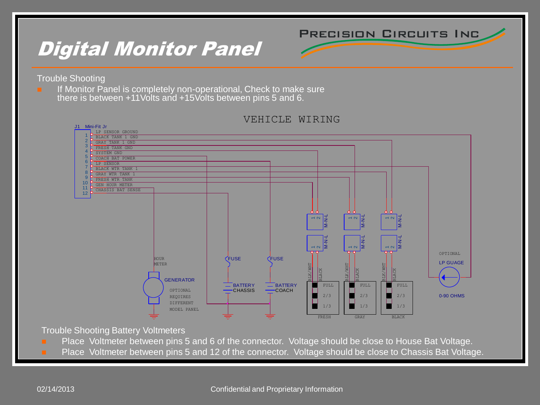Precision Circuits Inc

### Digital Monitor Panel

Trouble Shooting

**If Monitor Panel is completely non-operational, Check to make sure** there is between +11Volts and +15Volts between pins 5 and 6.



VEHICLE WIRING

Trouble Shooting Battery Voltmeters

- **Place Voltmeter between pins 5 and 6 of the connector. Voltage should be close to House Bat Voltage.**
- 

#### 02/14/2013 Confidential and Proprietary Information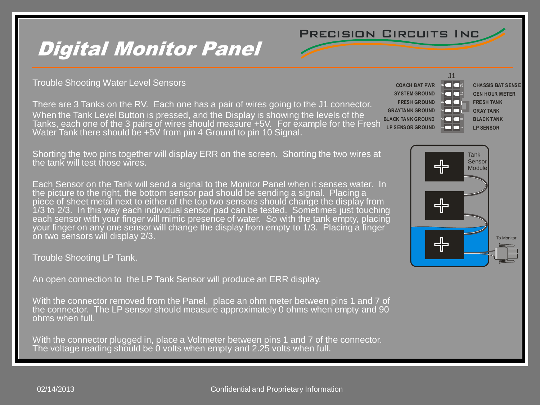

### Digital Monitor Panel

Trouble Shooting Water Level Sensors

There are 3 Tanks on the RV. Each one has a pair of wires going to the J1 connector. When the Tank Level Button is pressed, and the Display is showing the levels of the Tanks, each one of the 3 pairs of wires should measure +5V. For example for the Fresh Water Tank there should be +5V from pin 4 Ground to pin 10 Signal.

Shorting the two pins together will display ERR on the screen. Shorting the two wires at the tank will test those wires.

Each Sensor on the Tank will send a signal to the Monitor Panel when it senses water. In the picture to the right, the bottom sensor pad should be sending a signal. Placing a piece of sheet metal next to either of the top two sensors should change the display from 1/3 to 2/3. In this way each individual sensor pad can be tested. Sometimes just touching each sensor with your finger will mimic presence of water. So with the tank empty, placing your finger on any one sensor will change the display from empty to 1/3. Placing a finger on two sensors will display 2/3.

Trouble Shooting LP Tank.

An open connection to the LP Tank Sensor will produce an ERR display.

With the connector removed from the Panel, place an ohm meter between pins 1 and 7 of the connector. The LP sensor should measure approximately 0 ohms when empty and 90 ohms when full.

With the connector plugged in, place a Voltmeter between pins 1 and 7 of the connector. The voltage reading should be 0 volts when empty and 2.25 volts when full.